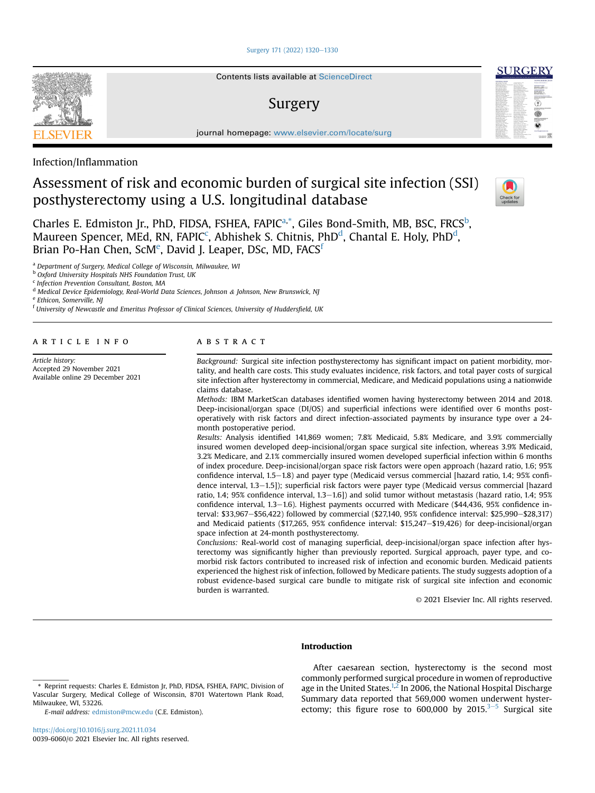#### Surgery 171 (2022) 1320-1330



Contents lists available at ScienceDirect

## Surgery



journal homepage: www.elsevier.com/locate/surg

Infection/Inflammation

# Assessment of risk and economic burden of surgical site infection (SSI) posthysterectomy using a U.S. longitudinal database



Charles E. Edmiston Jr., PhD, FIDSA, FSHEA, FAPIC<sup>a,\*</sup>, Giles Bond-Smith, MB, BSC, FRCS<sup>b</sup>, Maureen Spencer, MEd, RN, FAPIC<sup>c</sup>, Abhishek S. Chitnis, PhD<sup>d</sup>, Chantal E. Holy, PhD<sup>d</sup>, Brian Po-Han Chen, ScM<sup>e</sup>, David J. Leaper, DSc, MD, FACS<sup>f</sup>

<sup>a</sup> Department of Surgery, Medical College of Wisconsin, Milwaukee, WI

**b Oxford University Hospitals NHS Foundation Trust, UK** 

<sup>c</sup> Infection Prevention Consultant, Boston, MA

<sup>d</sup> Medical Device Epidemiology, Real-World Data Sciences, Johnson & Johnson, New Brunswick, NJ

<sup>e</sup> Ethicon, Somerville, NJ

<sup>f</sup> University of Newcastle and Emeritus Professor of Clinical Sciences, University of Huddersfield, UK

article info

Article history: Accepted 29 November 2021 Available online 29 December 2021

#### **ABSTRACT**

Background: Surgical site infection posthysterectomy has significant impact on patient morbidity, mortality, and health care costs. This study evaluates incidence, risk factors, and total payer costs of surgical site infection after hysterectomy in commercial, Medicare, and Medicaid populations using a nationwide claims database.

Methods: IBM MarketScan databases identified women having hysterectomy between 2014 and 2018. Deep-incisional/organ space (DI/OS) and superficial infections were identified over 6 months postoperatively with risk factors and direct infection-associated payments by insurance type over a 24 month postoperative period.

Results: Analysis identified 141,869 women; 7.8% Medicaid, 5.8% Medicare, and 3.9% commercially insured women developed deep-incisional/organ space surgical site infection, whereas 3.9% Medicaid, 3.2% Medicare, and 2.1% commercially insured women developed superficial infection within 6 months of index procedure. Deep-incisional/organ space risk factors were open approach (hazard ratio, 1.6; 95% confidence interval,  $1.5-1.8$ ) and payer type (Medicaid versus commercial [hazard ratio,  $1.4$ ; 95% confidence interval, 1.3–1.5]); superficial risk factors were payer type (Medicaid versus commercial [hazard ratio, 1.4; 95% confidence interval,  $1.3-1.6$ ]) and solid tumor without metastasis (hazard ratio,  $1.4$ ; 95% confidence interval, 1.3-1.6). Highest payments occurred with Medicare (\$44,436, 95% confidence interval: \$33,967-\$56,422) followed by commercial (\$27,140, 95% confidence interval: \$25,990-\$28,317) and Medicaid patients (\$17,265, 95% confidence interval: \$15,247-\$19,426) for deep-incisional/organ space infection at 24-month posthysterectomy.

Conclusions: Real-world cost of managing superficial, deep-incisional/organ space infection after hysterectomy was significantly higher than previously reported. Surgical approach, payer type, and comorbid risk factors contributed to increased risk of infection and economic burden. Medicaid patients experienced the highest risk of infection, followed by Medicare patients. The study suggests adoption of a robust evidence-based surgical care bundle to mitigate risk of surgical site infection and economic burden is warranted.

© 2021 Elsevier Inc. All rights reserved.

#### Introduction

E-mail address: edmiston@mcw.edu (C.E. Edmiston).

After caesarean section, hysterectomy is the second most commonly performed surgical procedure in women of reproductive age in the United States.<sup>1,2</sup> In 2006, the National Hospital Discharge Summary data reported that 569,000 women underwent hysterectomy; this figure rose to 600,000 by 2015. $3-5$  Surgical site

<sup>\*</sup> Reprint requests: Charles E. Edmiston Jr, PhD, FIDSA, FSHEA, FAPIC, Division of Vascular Surgery, Medical College of Wisconsin, 8701 Watertown Plank Road, Milwaukee, WI, 53226.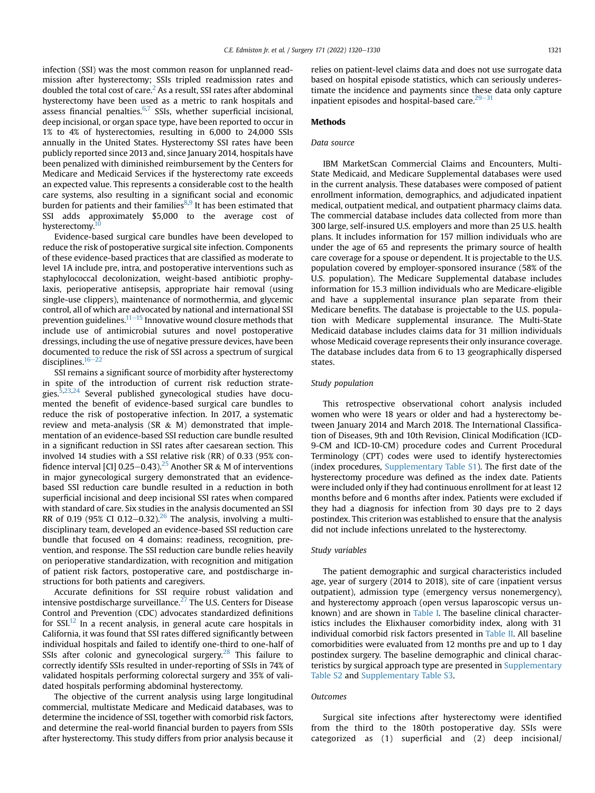infection (SSI) was the most common reason for unplanned readmission after hysterectomy; SSIs tripled readmission rates and doubled the total cost of care.<sup>2</sup> As a result, SSI rates after abdominal hysterectomy have been used as a metric to rank hospitals and assess financial penalties.<sup>6,7</sup> SSIs, whether superficial incisional, deep incisional, or organ space type, have been reported to occur in 1% to 4% of hysterectomies, resulting in 6,000 to 24,000 SSIs annually in the United States. Hysterectomy SSI rates have been publicly reported since 2013 and, since January 2014, hospitals have been penalized with diminished reimbursement by the Centers for Medicare and Medicaid Services if the hysterectomy rate exceeds an expected value. This represents a considerable cost to the health care systems, also resulting in a significant social and economic burden for patients and their families<sup>8,9</sup> It has been estimated that SSI adds approximately \$5,000 to the average cost of hysterectomy.<sup>10</sup>

Evidence-based surgical care bundles have been developed to reduce the risk of postoperative surgical site infection. Components of these evidence-based practices that are classified as moderate to level 1A include pre, intra, and postoperative interventions such as staphylococcal decolonization, weight-based antibiotic prophylaxis, perioperative antisepsis, appropriate hair removal (using single-use clippers), maintenance of normothermia, and glycemic control, all of which are advocated by national and international SSI prevention guidelines. $11-15$  Innovative wound closure methods that include use of antimicrobial sutures and novel postoperative dressings, including the use of negative pressure devices, have been documented to reduce the risk of SSI across a spectrum of surgical disciplines. $16-22$ 

SSI remains a significant source of morbidity after hysterectomy in spite of the introduction of current risk reduction strategies. $5,23,24$  Several published gynecological studies have documented the benefit of evidence-based surgical care bundles to reduce the risk of postoperative infection. In 2017, a systematic review and meta-analysis (SR  $\&$  M) demonstrated that implementation of an evidence-based SSI reduction care bundle resulted in a significant reduction in SSI rates after caesarean section. This involved 14 studies with a SSI relative risk (RR) of 0.33 (95% confidence interval [CI] 0.25–0.43).<sup>25</sup> Another SR & M of interventions in major gynecological surgery demonstrated that an evidencebased SSI reduction care bundle resulted in a reduction in both superficial incisional and deep incisional SSI rates when compared with standard of care. Six studies in the analysis documented an SSI RR of 0.19 (95% CI 0.12–0.32).<sup>26</sup> The analysis, involving a multidisciplinary team, developed an evidence-based SSI reduction care bundle that focused on 4 domains: readiness, recognition, prevention, and response. The SSI reduction care bundle relies heavily on perioperative standardization, with recognition and mitigation of patient risk factors, postoperative care, and postdischarge instructions for both patients and caregivers.

Accurate definitions for SSI require robust validation and intensive postdischarge surveillance. $^{27}$  The U.S. Centers for Disease Control and Prevention (CDC) advocates standardized definitions for  $SSI.<sup>12</sup>$  In a recent analysis, in general acute care hospitals in California, it was found that SSI rates differed significantly between individual hospitals and failed to identify one-third to one-half of SSIs after colonic and gynecological surgery. $28$  This failure to correctly identify SSIs resulted in under-reporting of SSIs in 74% of validated hospitals performing colorectal surgery and 35% of validated hospitals performing abdominal hysterectomy.

The objective of the current analysis using large longitudinal commercial, multistate Medicare and Medicaid databases, was to determine the incidence of SSI, together with comorbid risk factors, and determine the real-world financial burden to payers from SSIs after hysterectomy. This study differs from prior analysis because it relies on patient-level claims data and does not use surrogate data based on hospital episode statistics, which can seriously underestimate the incidence and payments since these data only capture inpatient episodes and hospital-based care. $29-31$ 

#### Methods

#### Data source

IBM MarketScan Commercial Claims and Encounters, Multi-State Medicaid, and Medicare Supplemental databases were used in the current analysis. These databases were composed of patient enrollment information, demographics, and adjudicated inpatient medical, outpatient medical, and outpatient pharmacy claims data. The commercial database includes data collected from more than 300 large, self-insured U.S. employers and more than 25 U.S. health plans. It includes information for 157 million individuals who are under the age of 65 and represents the primary source of health care coverage for a spouse or dependent. It is projectable to the U.S. population covered by employer-sponsored insurance (58% of the U.S. population). The Medicare Supplemental database includes information for 15.3 million individuals who are Medicare-eligible and have a supplemental insurance plan separate from their Medicare benefits. The database is projectable to the U.S. population with Medicare supplemental insurance. The Multi-State Medicaid database includes claims data for 31 million individuals whose Medicaid coverage represents their only insurance coverage. The database includes data from 6 to 13 geographically dispersed states.

#### Study population

This retrospective observational cohort analysis included women who were 18 years or older and had a hysterectomy between January 2014 and March 2018. The International Classification of Diseases, 9th and 10th Revision, Clinical Modification (ICD-9-CM and ICD-10-CM) procedure codes and Current Procedural Terminology (CPT) codes were used to identify hysterectomies (index procedures, Supplementary Table S1). The first date of the hysterectomy procedure was defined as the index date. Patients were included only if they had continuous enrollment for at least 12 months before and 6 months after index. Patients were excluded if they had a diagnosis for infection from 30 days pre to 2 days postindex. This criterion was established to ensure that the analysis did not include infections unrelated to the hysterectomy.

#### Study variables

The patient demographic and surgical characteristics included age, year of surgery (2014 to 2018), site of care (inpatient versus outpatient), admission type (emergency versus nonemergency), and hysterectomy approach (open versus laparoscopic versus unknown) and are shown in Table I. The baseline clinical characteristics includes the Elixhauser comorbidity index, along with 31 individual comorbid risk factors presented in Table II. All baseline comorbidities were evaluated from 12 months pre and up to 1 day postindex surgery. The baseline demographic and clinical characteristics by surgical approach type are presented in Supplementary Table S2 and Supplementary Table S3.

#### Outcomes

Surgical site infections after hysterectomy were identified from the third to the 180th postoperative day. SSIs were categorized as (1) superficial and (2) deep incisional/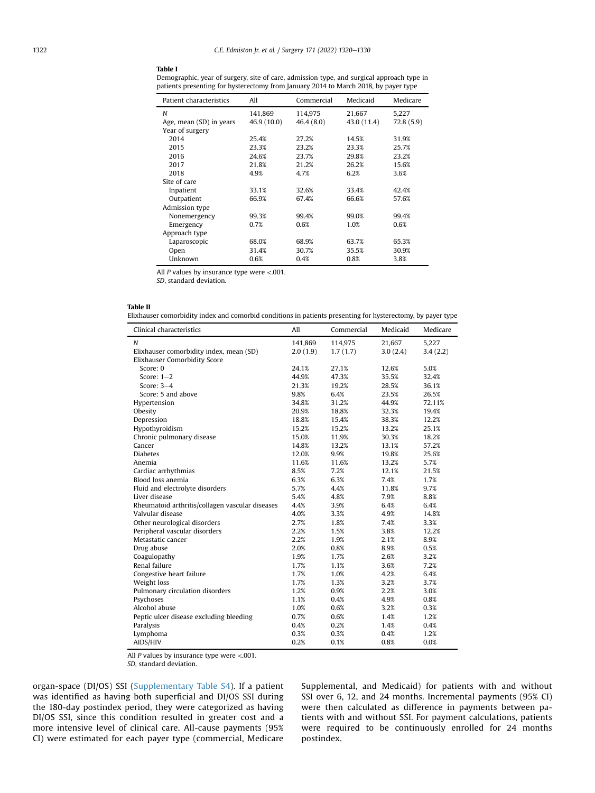#### Table I

Demographic, year of surgery, site of care, admission type, and surgical approach type in patients presenting for hysterectomy from January 2014 to March 2018, by payer type

| Patient characteristics | All         | Commercial | Medicaid    | Medicare  |
|-------------------------|-------------|------------|-------------|-----------|
| N                       | 141,869     | 114,975    | 21,667      | 5,227     |
| Age, mean (SD) in years | 46.9 (10.0) | 46.4(8.0)  | 43.0 (11.4) | 72.8(5.9) |
| Year of surgery         |             |            |             |           |
| 2014                    | 25.4%       | 27.2%      | 14.5%       | 31.9%     |
| 2015                    | 23.3%       | 23.2%      | 23.3%       | 25.7%     |
| 2016                    | 24.6%       | 23.7%      | 29.8%       | 23.2%     |
| 2017                    | 21.8%       | 21.2%      | 26.2%       | 15.6%     |
| 2018                    | 4.9%        | 4.7%       | 6.2%        | 3.6%      |
| Site of care            |             |            |             |           |
| Inpatient               | 33.1%       | 32.6%      | 33.4%       | 42.4%     |
| Outpatient              | 66.9%       | 67.4%      | 66.6%       | 57.6%     |
| Admission type          |             |            |             |           |
| Nonemergency            | 99.3%       | 99.4%      | 99.0%       | 99.4%     |
| Emergency               | 0.7%        | 0.6%       | 1.0%        | 0.6%      |
| Approach type           |             |            |             |           |
| Laparoscopic            | 68.0%       | 68.9%      | 63.7%       | 65.3%     |
| Open                    | 31.4%       | 30.7%      | 35.5%       | 30.9%     |
| Unknown                 | 0.6%        | 0.4%       | 0.8%        | 3.8%      |

All  $P$  values by insurance type were <.001.

SD, standard deviation.

#### Table II

Elixhauser comorbidity index and comorbid conditions in patients presenting for hysterectomy, by payer type

| Clinical characteristics                        | All      | Commercial | Medicaid | Medicare |
|-------------------------------------------------|----------|------------|----------|----------|
| $\boldsymbol{N}$                                | 141.869  | 114.975    | 21.667   | 5,227    |
| Elixhauser comorbidity index, mean (SD)         | 2.0(1.9) | 1.7(1.7)   | 3.0(2.4) | 3.4(2.2) |
| <b>Elixhauser Comorbidity Score</b>             |          |            |          |          |
| Score: 0                                        | 24.1%    | 27.1%      | 12.6%    | 5.0%     |
| Score: $1-2$                                    | 44.9%    | 47.3%      | 35.5%    | 32.4%    |
| Score: $3-4$                                    | 21.3%    | 19.2%      | 28.5%    | 36.1%    |
| Score: 5 and above                              | 9.8%     | 6.4%       | 23.5%    | 26.5%    |
| Hypertension                                    | 34.8%    | 31.2%      | 44.9%    | 72.11%   |
| Obesity                                         | 20.9%    | 18.8%      | 32.3%    | 19.4%    |
| Depression                                      | 18.8%    | 15.4%      | 38.3%    | 12.2%    |
| Hypothyroidism                                  | 15.2%    | 15.2%      | 13.2%    | 25.1%    |
| Chronic pulmonary disease                       | 15.0%    | 11.9%      | 30.3%    | 18.2%    |
| Cancer                                          | 14.8%    | 13.2%      | 13.1%    | 57.2%    |
| <b>Diabetes</b>                                 | 12.0%    | 9.9%       | 19.8%    | 25.6%    |
| Anemia                                          | 11.6%    | 11.6%      | 13.2%    | 5.7%     |
| Cardiac arrhythmias                             | 8.5%     | 7.2%       | 12.1%    | 21.5%    |
| Blood loss anemia                               | 6.3%     | 6.3%       | 7.4%     | 1.7%     |
| Fluid and electrolyte disorders                 | 5.7%     | 4.4%       | 11.8%    | 9.7%     |
| Liver disease                                   | 5.4%     | 4.8%       | 7.9%     | 8.8%     |
| Rheumatoid arthritis/collagen vascular diseases | 4.4%     | 3.9%       | 6.4%     | 6.4%     |
| Valvular disease                                | 4.0%     | 3.3%       | 4.9%     | 14.8%    |
| Other neurological disorders                    | 2.7%     | 1.8%       | 7.4%     | 3.3%     |
| Peripheral vascular disorders                   | 2.2%     | 1.5%       | 3.8%     | 12.2%    |
| Metastatic cancer                               | 2.2%     | 1.9%       | 2.1%     | 8.9%     |
| Drug abuse                                      | 2.0%     | 0.8%       | 8.9%     | 0.5%     |
| Coagulopathy                                    | 1.9%     | 1.7%       | 2.6%     | 3.2%     |
| Renal failure                                   | 1.7%     | 1.1%       | 3.6%     | 7.2%     |
| Congestive heart failure                        | 1.7%     | 1.0%       | 4.2%     | 6.4%     |
| Weight loss                                     | 1.7%     | 1.3%       | 3.2%     | 3.7%     |
| Pulmonary circulation disorders                 | 1.2%     | 0.9%       | 2.2%     | 3.0%     |
| Psychoses                                       | 1.1%     | 0.4%       | 4.9%     | 0.8%     |
| Alcohol abuse                                   | 1.0%     | 0.6%       | 3.2%     | 0.3%     |
| Peptic ulcer disease excluding bleeding         | 0.7%     | 0.6%       | 1.4%     | 1.2%     |
| Paralysis                                       | 0.4%     | 0.2%       | 1.4%     | 0.4%     |
| Lymphoma                                        | 0.3%     | 0.3%       | 0.4%     | 1.2%     |
| AIDS/HIV                                        | 0.2%     | 0.1%       | 0.8%     | 0.0%     |

All P values by insurance type were <.001.

SD, standard deviation.

organ-space (DI/OS) SSI (Supplementary Table S4). If a patient was identified as having both superficial and DI/OS SSI during the 180-day postindex period, they were categorized as having DI/OS SSI, since this condition resulted in greater cost and a more intensive level of clinical care. All-cause payments (95% CI) were estimated for each payer type (commercial, Medicare Supplemental, and Medicaid) for patients with and without SSI over 6, 12, and 24 months. Incremental payments (95% CI) were then calculated as difference in payments between patients with and without SSI. For payment calculations, patients were required to be continuously enrolled for 24 months postindex.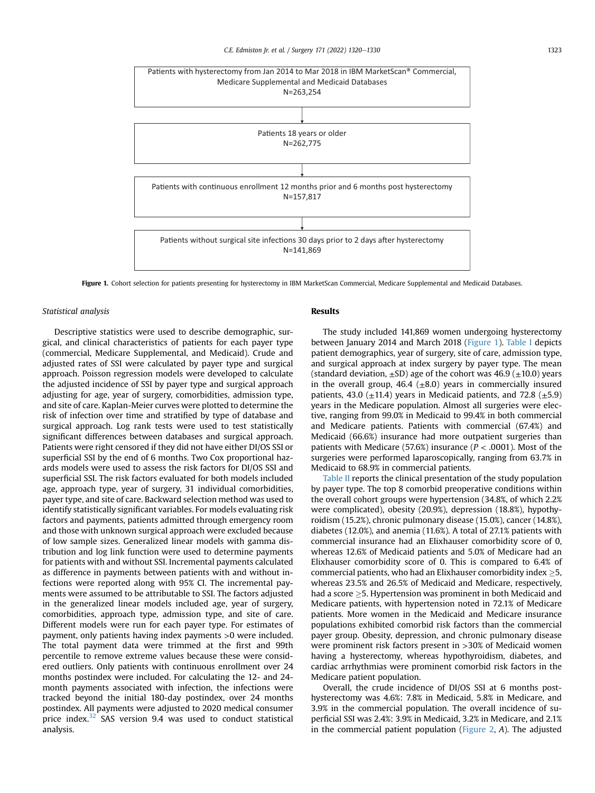#### C.E. Edmiston Ir. et al. / Surgery 171 (2022) 1320-1330 1323



Figure 1. Cohort selection for patients presenting for hysterectomy in IBM MarketScan Commercial, Medicare Supplemental and Medicaid Databases.

#### Statistical analysis

Descriptive statistics were used to describe demographic, surgical, and clinical characteristics of patients for each payer type (commercial, Medicare Supplemental, and Medicaid). Crude and adjusted rates of SSI were calculated by payer type and surgical approach. Poisson regression models were developed to calculate the adjusted incidence of SSI by payer type and surgical approach adjusting for age, year of surgery, comorbidities, admission type, and site of care. Kaplan-Meier curves were plotted to determine the risk of infection over time and stratified by type of database and surgical approach. Log rank tests were used to test statistically significant differences between databases and surgical approach. Patients were right censored if they did not have either DI/OS SSI or superficial SSI by the end of 6 months. Two Cox proportional hazards models were used to assess the risk factors for DI/OS SSI and superficial SSI. The risk factors evaluated for both models included age, approach type, year of surgery, 31 individual comorbidities, payer type, and site of care. Backward selection method was used to identify statistically significant variables. For models evaluating risk factors and payments, patients admitted through emergency room and those with unknown surgical approach were excluded because of low sample sizes. Generalized linear models with gamma distribution and log link function were used to determine payments for patients with and without SSI. Incremental payments calculated as difference in payments between patients with and without infections were reported along with 95% CI. The incremental payments were assumed to be attributable to SSI. The factors adjusted in the generalized linear models included age, year of surgery, comorbidities, approach type, admission type, and site of care. Different models were run for each payer type. For estimates of payment, only patients having index payments >0 were included. The total payment data were trimmed at the first and 99th percentile to remove extreme values because these were considered outliers. Only patients with continuous enrollment over 24 months postindex were included. For calculating the 12- and 24 month payments associated with infection, the infections were tracked beyond the initial 180-day postindex, over 24 months postindex. All payments were adjusted to 2020 medical consumer price index. $32$  SAS version 9.4 was used to conduct statistical analysis.

#### Results

The study included 141,869 women undergoing hysterectomy between January 2014 and March 2018 (Figure 1). Table I depicts patient demographics, year of surgery, site of care, admission type, and surgical approach at index surgery by payer type. The mean (standard deviation,  $\pm$ SD) age of the cohort was 46.9 ( $\pm$ 10.0) years in the overall group, 46.4  $(\pm 8.0)$  years in commercially insured patients, 43.0 ( $\pm$ 11.4) years in Medicaid patients, and 72.8 ( $\pm$ 5.9) years in the Medicare population. Almost all surgeries were elective, ranging from 99.0% in Medicaid to 99.4% in both commercial and Medicare patients. Patients with commercial (67.4%) and Medicaid (66.6%) insurance had more outpatient surgeries than patients with Medicare (57.6%) insurance ( $P < .0001$ ). Most of the surgeries were performed laparoscopically, ranging from 63.7% in Medicaid to 68.9% in commercial patients.

Table II reports the clinical presentation of the study population by payer type. The top 8 comorbid preoperative conditions within the overall cohort groups were hypertension (34.8%, of which 2.2% were complicated), obesity (20.9%), depression (18.8%), hypothyroidism (15.2%), chronic pulmonary disease (15.0%), cancer (14.8%), diabetes (12.0%), and anemia (11.6%). A total of 27.1% patients with commercial insurance had an Elixhauser comorbidity score of 0, whereas 12.6% of Medicaid patients and 5.0% of Medicare had an Elixhauser comorbidity score of 0. This is compared to 6.4% of commercial patients, who had an Elixhauser comorbidity index  $\geq$ 5, whereas 23.5% and 26.5% of Medicaid and Medicare, respectively, had a score  $\geq$ 5. Hypertension was prominent in both Medicaid and Medicare patients, with hypertension noted in 72.1% of Medicare patients. More women in the Medicaid and Medicare insurance populations exhibited comorbid risk factors than the commercial payer group. Obesity, depression, and chronic pulmonary disease were prominent risk factors present in >30% of Medicaid women having a hysterectomy, whereas hypothyroidism, diabetes, and cardiac arrhythmias were prominent comorbid risk factors in the Medicare patient population.

Overall, the crude incidence of DI/OS SSI at 6 months posthysterectomy was 4.6%: 7.8% in Medicaid, 5.8% in Medicare, and 3.9% in the commercial population. The overall incidence of superficial SSI was 2.4%: 3.9% in Medicaid, 3.2% in Medicare, and 2.1% in the commercial patient population (Figure 2, A). The adjusted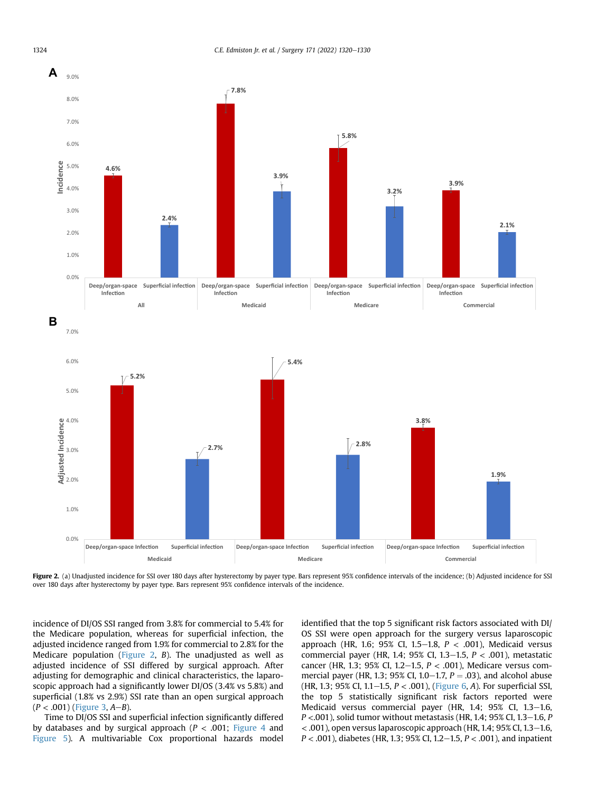

Figure 2. (a) Unadjusted incidence for SSI over 180 days after hysterectomy by payer type. Bars represent 95% confidence intervals of the incidence; (b) Adjusted incidence for SSI over 180 days after hysterectomy by payer type. Bars represent 95% confidence intervals of the incidence.

incidence of DI/OS SSI ranged from 3.8% for commercial to 5.4% for the Medicare population, whereas for superficial infection, the adjusted incidence ranged from 1.9% for commercial to 2.8% for the Medicare population (Figure 2, B). The unadjusted as well as adjusted incidence of SSI differed by surgical approach. After adjusting for demographic and clinical characteristics, the laparoscopic approach had a significantly lower DI/OS (3.4% vs 5.8%) and superficial (1.8% vs 2.9%) SSI rate than an open surgical approach  $(P < .001)$  (Figure 3, A–B).

Time to DI/OS SSI and superficial infection significantly differed by databases and by surgical approach ( $P < .001$ ; Figure 4 and Figure 5). A multivariable Cox proportional hazards model identified that the top 5 significant risk factors associated with DI/ OS SSI were open approach for the surgery versus laparoscopic approach (HR, 1.6; 95% CI, 1.5-1.8,  $P < .001$ ), Medicaid versus commercial payer (HR, 1.4; 95% CI, 1.3–1.5,  $P < .001$ ), metastatic cancer (HR, 1.3; 95% CI, 1.2–1.5,  $P < .001$ ), Medicare versus commercial payer (HR, 1.3; 95% CI, 1.0–1.7,  $P = .03$ ), and alcohol abuse (HR, 1.3; 95% CI, 1.1-1.5,  $P < .001$ ), (Figure 6, A). For superficial SSI, the top 5 statistically significant risk factors reported were Medicaid versus commercial payer (HR, 1.4; 95% CI, 1.3-1.6,  $P < .001$ ), solid tumor without metastasis (HR, 1.4; 95% CI, 1.3-1.6, P  $<$  .001), open versus laparoscopic approach (HR, 1.4; 95% CI, 1.3–1.6,  $P < .001$ ), diabetes (HR, 1.3; 95% CI, 1.2–1.5,  $P < .001$ ), and inpatient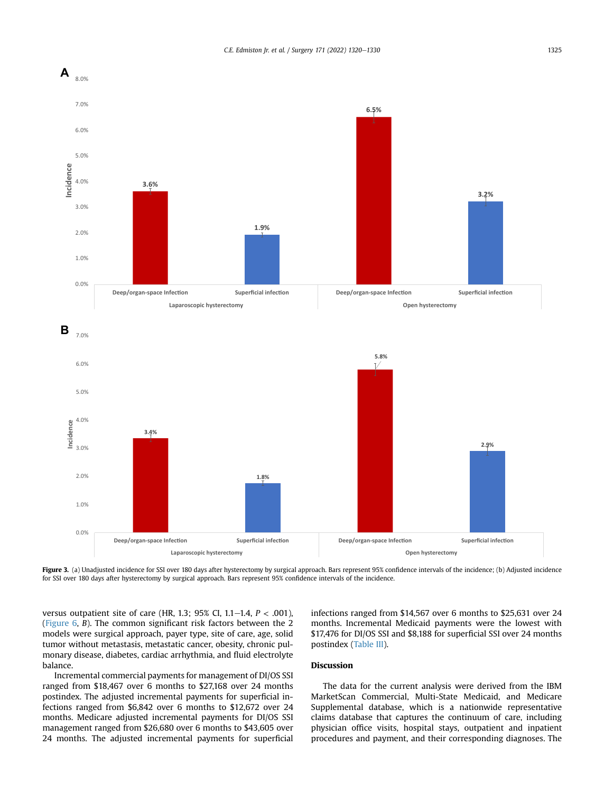

Figure 3. (a) Unadjusted incidence for SSI over 180 days after hysterectomy by surgical approach. Bars represent 95% confidence intervals of the incidence; (b) Adjusted incidence for SSI over 180 days after hysterectomy by surgical approach. Bars represent 95% confidence intervals of the incidence.

versus outpatient site of care (HR, 1.3; 95% CI, 1.1–1.4,  $P < .001$ ), (Figure 6, B). The common significant risk factors between the 2 models were surgical approach, payer type, site of care, age, solid tumor without metastasis, metastatic cancer, obesity, chronic pulmonary disease, diabetes, cardiac arrhythmia, and fluid electrolyte balance.

Incremental commercial payments for management of DI/OS SSI ranged from \$18,467 over 6 months to \$27,168 over 24 months postindex. The adjusted incremental payments for superficial infections ranged from \$6,842 over 6 months to \$12,672 over 24 months. Medicare adjusted incremental payments for DI/OS SSI management ranged from \$26,680 over 6 months to \$43,605 over 24 months. The adjusted incremental payments for superficial infections ranged from \$14,567 over 6 months to \$25,631 over 24 months. Incremental Medicaid payments were the lowest with \$17,476 for DI/OS SSI and \$8,188 for superficial SSI over 24 months postindex (Table III).

### Discussion

The data for the current analysis were derived from the IBM MarketScan Commercial, Multi-State Medicaid, and Medicare Supplemental database, which is a nationwide representative claims database that captures the continuum of care, including physician office visits, hospital stays, outpatient and inpatient procedures and payment, and their corresponding diagnoses. The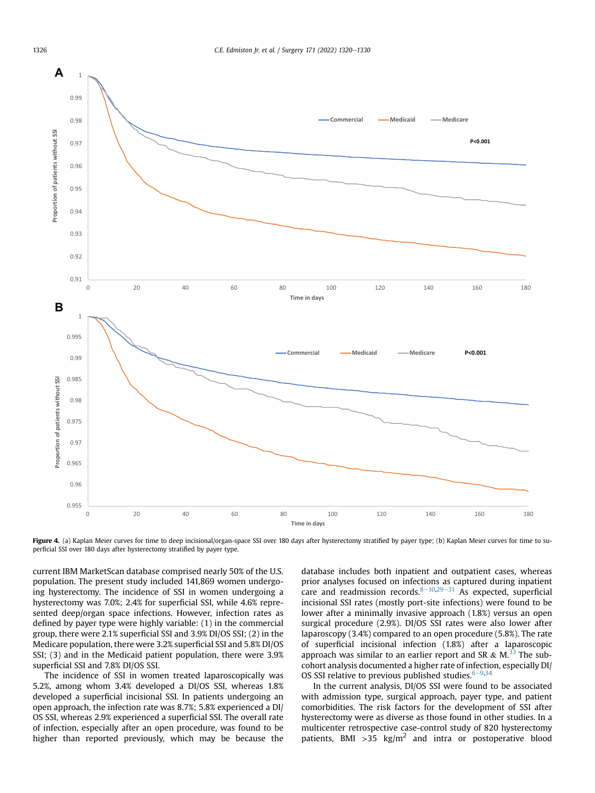

Figure 4. (a) Kaplan Meier curves for time to deep incisional/organ-space SSI over 180 days after hysterectomy stratified by payer type; (b) Kaplan Meier curves for time to superficial SSI over 180 days after hysterectomy stratified by payer type.

current IBM MarketScan database comprised nearly 50% of the U.S. population. The present study included 141,869 women undergoing hysterectomy. The incidence of SSI in women undergoing a hysterectomy was 7.0%; 2.4% for superficial SSI, while 4.6% represented deep/organ space infections. However, infection rates as defined by payer type were highly variable: (1) in the commercial group, there were 2.1% superficial SSI and 3.9% DI/OS SSI; (2) in the Medicare population, there were 3.2% superficial SSI and 5.8% DI/OS SSI; (3) and in the Medicaid patient population, there were 3.9% superficial SSI and 7.8% DI/OS SSI.

The incidence of SSI in women treated laparoscopically was 5.2%, among whom 3.4% developed a DI/OS SSI, whereas 1.8% developed a superficial incisional SSI. In patients undergoing an open approach, the infection rate was 8.7%; 5.8% experienced a DI/ OS SSI, whereas 2.9% experienced a superficial SSI. The overall rate of infection, especially after an open procedure, was found to be higher than reported previously, which may be because the

database includes both inpatient and outpatient cases, whereas prior analyses focused on infections as captured during inpatient care and readmission records. $8-10,29-31$  As expected, superficial incisional SSI rates (mostly port-site infections) were found to be lower after a minimally invasive approach (1.8%) versus an open surgical procedure (2.9%). DI/OS SSI rates were also lower after laparoscopy (3.4%) compared to an open procedure (5.8%). The rate of superficial incisional infection (1.8%) after a laparoscopic approach was similar to an earlier report and SR  $\&$  M.<sup>33</sup> The subcohort analysis documented a higher rate of infection, especially DI/ OS SSI relative to previous published studies.  $6-9,34$ 

In the current analysis, DI/OS SSI were found to be associated with admission type, surgical approach, payer type, and patient comorbidities. The risk factors for the development of SSI after hysterectomy were as diverse as those found in other studies. In a multicenter retrospective case-control study of 820 hysterectomy patients, BMI > 35  $\text{kg/m}^2$  and intra or postoperative blood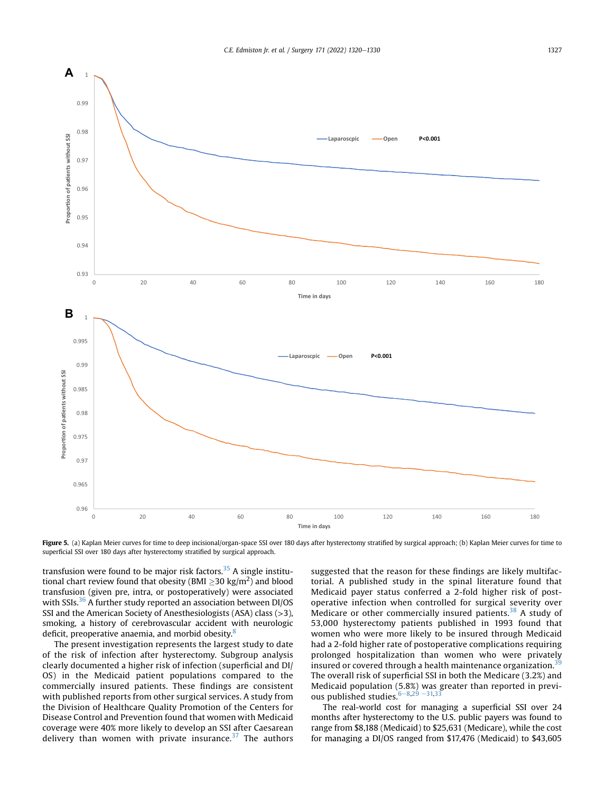

Figure 5. (a) Kaplan Meier curves for time to deep incisional/organ-space SSI over 180 days after hysterectomy stratified by surgical approach; (b) Kaplan Meier curves for time to superficial SSI over 180 days after hysterectomy stratified by surgical approach.

transfusion were found to be major risk factors.<sup>35</sup> A single institutional chart review found that obesity (BMI  $\geq$ 30 kg/m<sup>2</sup>) and blood transfusion (given pre, intra, or postoperatively) were associated with SSIs.<sup>36</sup> A further study reported an association between DI/OS SSI and the American Society of Anesthesiologists (ASA) class (>3), smoking, a history of cerebrovascular accident with neurologic deficit, preoperative anaemia, and morbid obesity. $\frac{8}{3}$ 

The present investigation represents the largest study to date of the risk of infection after hysterectomy. Subgroup analysis clearly documented a higher risk of infection (superficial and DI/ OS) in the Medicaid patient populations compared to the commercially insured patients. These findings are consistent with published reports from other surgical services. A study from the Division of Healthcare Quality Promotion of the Centers for Disease Control and Prevention found that women with Medicaid coverage were 40% more likely to develop an SSI after Caesarean delivery than women with private insurance. $37$  The authors suggested that the reason for these findings are likely multifactorial. A published study in the spinal literature found that Medicaid payer status conferred a 2-fold higher risk of postoperative infection when controlled for surgical severity over Medicare or other commercially insured patients.<sup>38</sup> A study of 53,000 hysterectomy patients published in 1993 found that women who were more likely to be insured through Medicaid had a 2-fold higher rate of postoperative complications requiring prolonged hospitalization than women who were privately insured or covered through a health maintenance organization.<sup>3</sup> The overall risk of superficial SSI in both the Medicare (3.2%) and Medicaid population (5.8%) was greater than reported in previous published studies. $6-8,29-31,33$ 

The real-world cost for managing a superficial SSI over 24 months after hysterectomy to the U.S. public payers was found to range from \$8,188 (Medicaid) to \$25,631 (Medicare), while the cost for managing a DI/OS ranged from \$17,476 (Medicaid) to \$43,605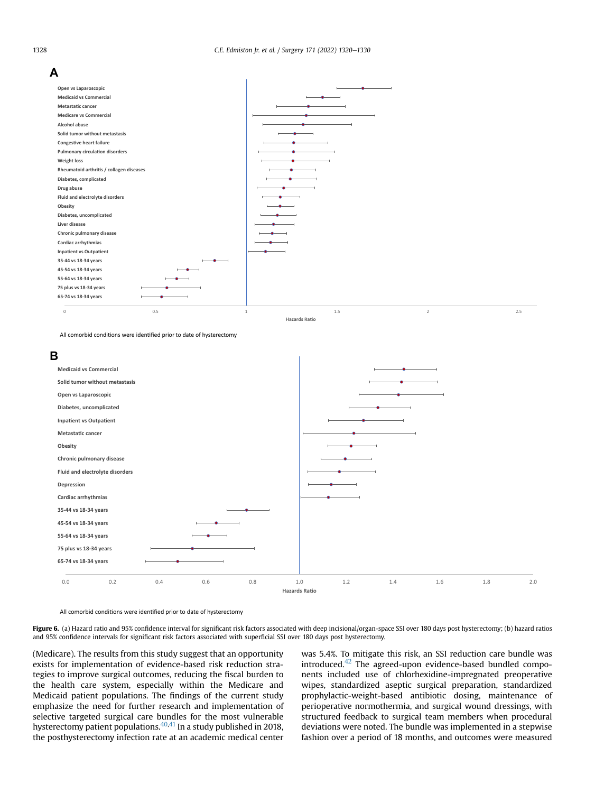

All comorbid conditions were identified prior to date of hysterectomy

![](_page_8_Figure_4.jpeg)

All comorbid conditions were identified prior to date of hysterectomy

Figure 6. (a) Hazard ratio and 95% confidence interval for significant risk factors associated with deep incisional/organ-space SSI over 180 days post hysterectomy; (b) hazard ratios and 95% confidence intervals for significant risk factors associated with superficial SSI over 180 days post hysterectomy.

(Medicare). The results from this study suggest that an opportunity exists for implementation of evidence-based risk reduction strategies to improve surgical outcomes, reducing the fiscal burden to the health care system, especially within the Medicare and Medicaid patient populations. The findings of the current study emphasize the need for further research and implementation of selective targeted surgical care bundles for the most vulnerable hysterectomy patient populations.<sup>40,41</sup> In a study published in 2018, the posthysterectomy infection rate at an academic medical center was 5.4%. To mitigate this risk, an SSI reduction care bundle was introduced. $42$  The agreed-upon evidence-based bundled components included use of chlorhexidine-impregnated preoperative wipes, standardized aseptic surgical preparation, standardized prophylactic-weight-based antibiotic dosing, maintenance of perioperative normothermia, and surgical wound dressings, with structured feedback to surgical team members when procedural deviations were noted. The bundle was implemented in a stepwise fashion over a period of 18 months, and outcomes were measured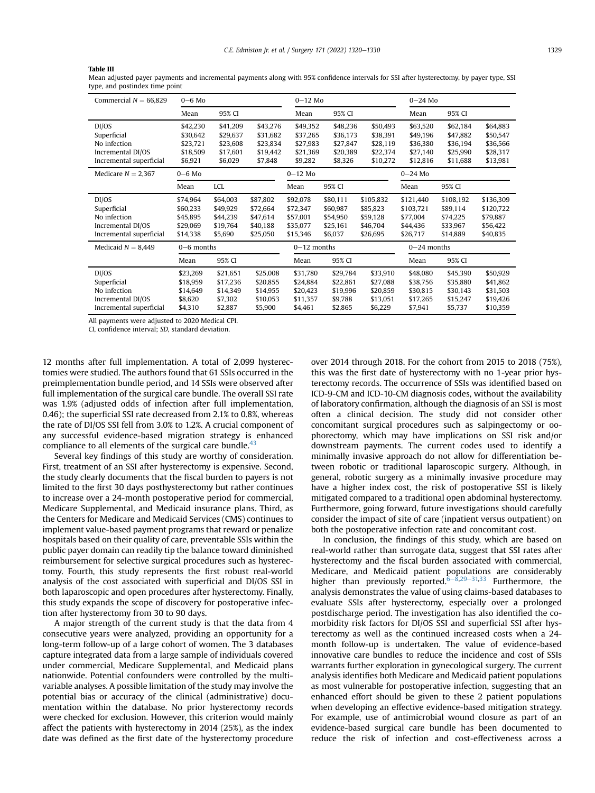#### Table III

Mean adjusted payer payments and incremental payments along with 95% confidence intervals for SSI after hysterectomy, by payer type, SSI type, and postindex time point

| Commercial $N = 66,829$ | $0 - 6$ Mo |              |          | $0-12$ Mo     |          |               | $0 - 24$ Mo |           |           |
|-------------------------|------------|--------------|----------|---------------|----------|---------------|-------------|-----------|-----------|
|                         | Mean       | 95% CI       |          | Mean          | 95% CI   |               | Mean        | 95% CI    |           |
| DI/OS                   | \$42,230   | \$41,209     | \$43,276 | \$49,352      | \$48,236 | \$50,493      | \$63,520    | \$62,184  | \$64,883  |
| Superficial             | \$30,642   | \$29,637     | \$31.682 | \$37,265      | \$36,173 | \$38,391      | \$49,196    | \$47,882  | \$50,547  |
| No infection            | \$23,721   | \$23,608     | \$23,834 | \$27,983      | \$27,847 | \$28,119      | \$36,380    | \$36,194  | \$36,566  |
| Incremental DI/OS       | \$18,509   | \$17,601     | \$19,442 | \$21,369      | \$20,389 | \$22,374      | \$27,140    | \$25,990  | \$28,317  |
| Incremental superficial | \$6,921    | \$6,029      | \$7,848  | \$9,282       | \$8,326  | \$10,272      | \$12,816    | \$11,688  | \$13,981  |
| Medicare $N = 2,367$    | $0 - 6$ Mo |              |          | $0-12$ Mo     |          |               | $0-24$ Mo   |           |           |
|                         | Mean       | LCL          |          | Mean          | 95% CI   |               | Mean        | 95% CI    |           |
| DI/OS                   | \$74,964   | \$64,003     | \$87,802 | \$92,078      | \$80,111 | \$105,832     | \$121,440   | \$108,192 | \$136,309 |
| Superficial             | \$60,233   | \$49,929     | \$72,664 | \$72,347      | \$60,987 | \$85,823      | \$103,721   | \$89,114  | \$120,722 |
| No infection            | \$45,895   | \$44,239     | \$47,614 | \$57,001      | \$54,950 | \$59,128      | \$77,004    | \$74,225  | \$79,887  |
| Incremental DI/OS       | \$29,069   | \$19,764     | \$40,188 | \$35,077      | \$25,161 | \$46,704      | \$44,436    | \$33,967  | \$56,422  |
| Incremental superficial | \$14,338   | \$5,690      | \$25,050 | \$15,346      | \$6,037  | \$26,695      | \$26,717    | \$14,889  | \$40,835  |
| Medicaid $N = 8,449$    |            | $0-6$ months |          | $0-12$ months |          | $0-24$ months |             |           |           |
|                         | Mean       | 95% CI       |          | Mean          | 95% CI   |               | Mean        | 95% CI    |           |
| DI/OS                   | \$23,269   | \$21,651     | \$25,008 | \$31.780      | \$29,784 | \$33,910      | \$48,080    | \$45,390  | \$50,929  |
| Superficial             | \$18,959   | \$17,236     | \$20,855 | \$24,884      | \$22,861 | \$27,088      | \$38,756    | \$35,880  | \$41,862  |
| No infection            | \$14,649   | \$14,349     | \$14,955 | \$20,423      | \$19,996 | \$20,859      | \$30.815    | \$30,143  | \$31,503  |
| Incremental DI/OS       | \$8,620    | \$7,302      | \$10,053 | \$11,357      | \$9,788  | \$13,051      | \$17,265    | \$15,247  | \$19,426  |
| Incremental superficial | \$4,310    | \$2,887      | \$5,900  | \$4,461       | \$2,865  | \$6,229       | \$7,941     | \$5,737   | \$10,359  |

All payments were adjusted to 2020 Medical CPI.

CI, confidence interval; SD, standard deviation.

12 months after full implementation. A total of 2,099 hysterectomies were studied. The authors found that 61 SSIs occurred in the preimplementation bundle period, and 14 SSIs were observed after full implementation of the surgical care bundle. The overall SSI rate was 1.9% (adjusted odds of infection after full implementation, 0.46); the superficial SSI rate decreased from 2.1% to 0.8%, whereas the rate of DI/OS SSI fell from 3.0% to 1.2%. A crucial component of any successful evidence-based migration strategy is enhanced compliance to all elements of the surgical care bundle.<sup>43</sup>

Several key findings of this study are worthy of consideration. First, treatment of an SSI after hysterectomy is expensive. Second, the study clearly documents that the fiscal burden to payers is not limited to the first 30 days posthysterectomy but rather continues to increase over a 24-month postoperative period for commercial, Medicare Supplemental, and Medicaid insurance plans. Third, as the Centers for Medicare and Medicaid Services (CMS) continues to implement value-based payment programs that reward or penalize hospitals based on their quality of care, preventable SSIs within the public payer domain can readily tip the balance toward diminished reimbursement for selective surgical procedures such as hysterectomy. Fourth, this study represents the first robust real-world analysis of the cost associated with superficial and DI/OS SSI in both laparoscopic and open procedures after hysterectomy. Finally, this study expands the scope of discovery for postoperative infection after hysterectomy from 30 to 90 days.

A major strength of the current study is that the data from 4 consecutive years were analyzed, providing an opportunity for a long-term follow-up of a large cohort of women. The 3 databases capture integrated data from a large sample of individuals covered under commercial, Medicare Supplemental, and Medicaid plans nationwide. Potential confounders were controlled by the multivariable analyses. A possible limitation of the study may involve the potential bias or accuracy of the clinical (administrative) documentation within the database. No prior hysterectomy records were checked for exclusion. However, this criterion would mainly affect the patients with hysterectomy in 2014 (25%), as the index date was defined as the first date of the hysterectomy procedure over 2014 through 2018. For the cohort from 2015 to 2018 (75%), this was the first date of hysterectomy with no 1-year prior hysterectomy records. The occurrence of SSIs was identified based on ICD-9-CM and ICD-10-CM diagnosis codes, without the availability of laboratory confirmation, although the diagnosis of an SSI is most often a clinical decision. The study did not consider other concomitant surgical procedures such as salpingectomy or oophorectomy, which may have implications on SSI risk and/or downstream payments. The current codes used to identify a minimally invasive approach do not allow for differentiation between robotic or traditional laparoscopic surgery. Although, in general, robotic surgery as a minimally invasive procedure may have a higher index cost, the risk of postoperative SSI is likely mitigated compared to a traditional open abdominal hysterectomy. Furthermore, going forward, future investigations should carefully consider the impact of site of care (inpatient versus outpatient) on both the postoperative infection rate and concomitant cost.

In conclusion, the findings of this study, which are based on real-world rather than surrogate data, suggest that SSI rates after hysterectomy and the fiscal burden associated with commercial, Medicare, and Medicaid patient populations are considerably higher than previously reported.<sup>6–8,29–31,33</sup> Furthermore, the analysis demonstrates the value of using claims-based databases to evaluate SSIs after hysterectomy, especially over a prolonged postdischarge period. The investigation has also identified the comorbidity risk factors for DI/OS SSI and superficial SSI after hysterectomy as well as the continued increased costs when a 24 month follow-up is undertaken. The value of evidence-based innovative care bundles to reduce the incidence and cost of SSIs warrants further exploration in gynecological surgery. The current analysis identifies both Medicare and Medicaid patient populations as most vulnerable for postoperative infection, suggesting that an enhanced effort should be given to these 2 patient populations when developing an effective evidence-based mitigation strategy. For example, use of antimicrobial wound closure as part of an evidence-based surgical care bundle has been documented to reduce the risk of infection and cost-effectiveness across a